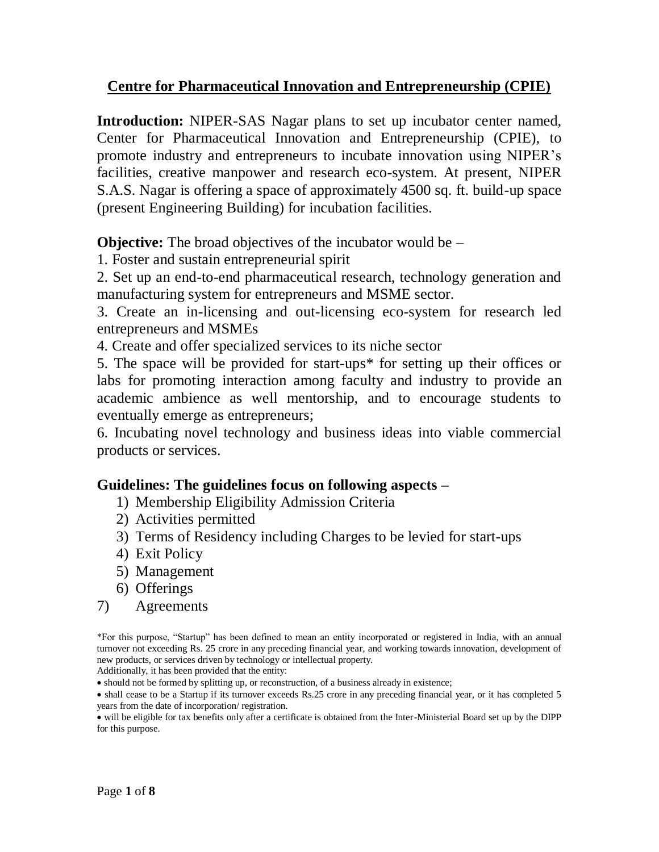### **Centre for Pharmaceutical Innovation and Entrepreneurship (CPIE)**

**Introduction:** NIPER-SAS Nagar plans to set up incubator center named, Center for Pharmaceutical Innovation and Entrepreneurship (CPIE), to promote industry and entrepreneurs to incubate innovation using NIPER's facilities, creative manpower and research eco-system. At present, NIPER S.A.S. Nagar is offering a space of approximately 4500 sq. ft. build-up space (present Engineering Building) for incubation facilities.

**Objective:** The broad objectives of the incubator would be –

1. Foster and sustain entrepreneurial spirit

2. Set up an end-to-end pharmaceutical research, technology generation and manufacturing system for entrepreneurs and MSME sector.

3. Create an in-licensing and out-licensing eco-system for research led entrepreneurs and MSMEs

4. Create and offer specialized services to its niche sector

5. The space will be provided for start-ups\* for setting up their offices or labs for promoting interaction among faculty and industry to provide an academic ambience as well mentorship, and to encourage students to eventually emerge as entrepreneurs;

6. Incubating novel technology and business ideas into viable commercial products or services.

### **Guidelines: The guidelines focus on following aspects –**

- 1) Membership Eligibility Admission Criteria
- 2) Activities permitted
- 3) Terms of Residency including Charges to be levied for start-ups
- 4) Exit Policy
- 5) Management
- 6) Offerings
- 7) Agreements

\*For this purpose, "Startup" has been defined to mean an entity incorporated or registered in India, with an annual turnover not exceeding Rs. 25 crore in any preceding financial year, and working towards innovation, development of new products, or services driven by technology or intellectual property.

Additionally, it has been provided that the entity:

should not be formed by splitting up, or reconstruction, of a business already in existence;

• shall cease to be a Startup if its turnover exceeds Rs.25 crore in any preceding financial year, or it has completed 5 years from the date of incorporation/ registration.

 will be eligible for tax benefits only after a certificate is obtained from the Inter-Ministerial Board set up by the DIPP for this purpose.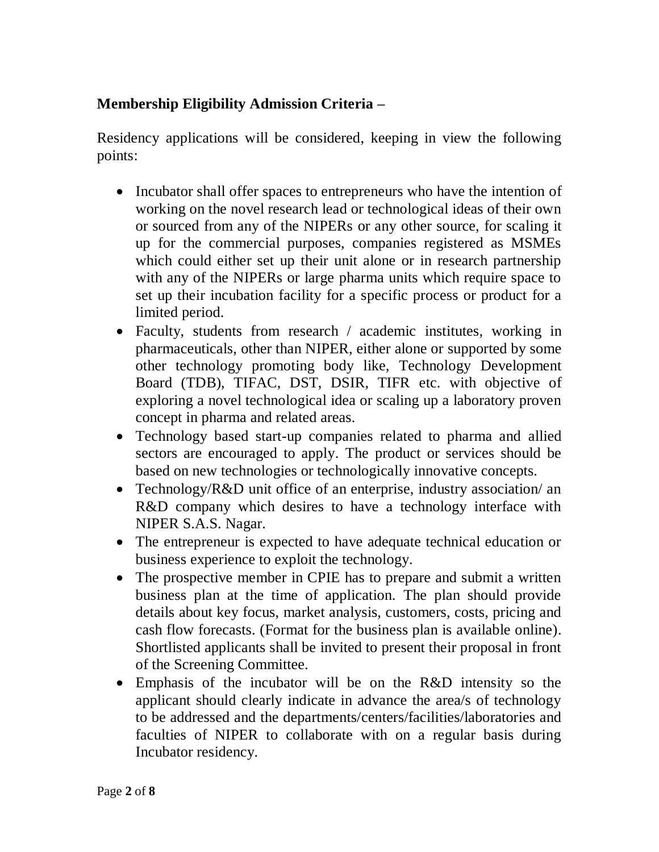## **Membership Eligibility Admission Criteria –**

Residency applications will be considered, keeping in view the following points:

- Incubator shall offer spaces to entrepreneurs who have the intention of working on the novel research lead or technological ideas of their own or sourced from any of the NIPERs or any other source, for scaling it up for the commercial purposes, companies registered as MSMEs which could either set up their unit alone or in research partnership with any of the NIPERs or large pharma units which require space to set up their incubation facility for a specific process or product for a limited period.
- Faculty, students from research / academic institutes, working in pharmaceuticals, other than NIPER, either alone or supported by some other technology promoting body like, Technology Development Board (TDB), TIFAC, DST, DSIR, TIFR etc. with objective of exploring a novel technological idea or scaling up a laboratory proven concept in pharma and related areas.
- Technology based start-up companies related to pharma and allied sectors are encouraged to apply. The product or services should be based on new technologies or technologically innovative concepts.
- Technology/R&D unit office of an enterprise, industry association/ an R&D company which desires to have a technology interface with NIPER S.A.S. Nagar.
- The entrepreneur is expected to have adequate technical education or business experience to exploit the technology.
- The prospective member in CPIE has to prepare and submit a written business plan at the time of application. The plan should provide details about key focus, market analysis, customers, costs, pricing and cash flow forecasts. (Format for the business plan is available online). Shortlisted applicants shall be invited to present their proposal in front of the Screening Committee.
- Emphasis of the incubator will be on the R&D intensity so the applicant should clearly indicate in advance the area/s of technology to be addressed and the departments/centers/facilities/laboratories and faculties of NIPER to collaborate with on a regular basis during Incubator residency.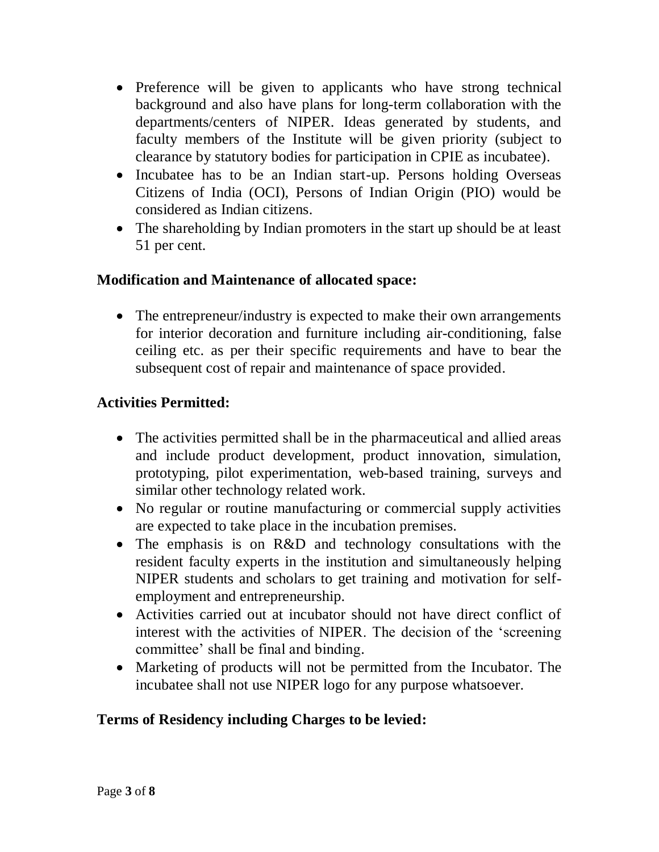- Preference will be given to applicants who have strong technical background and also have plans for long-term collaboration with the departments/centers of NIPER. Ideas generated by students, and faculty members of the Institute will be given priority (subject to clearance by statutory bodies for participation in CPIE as incubatee).
- Incubatee has to be an Indian start-up. Persons holding Overseas Citizens of India (OCI), Persons of Indian Origin (PIO) would be considered as Indian citizens.
- The shareholding by Indian promoters in the start up should be at least 51 per cent.

## **Modification and Maintenance of allocated space:**

• The entrepreneur/industry is expected to make their own arrangements for interior decoration and furniture including air-conditioning, false ceiling etc. as per their specific requirements and have to bear the subsequent cost of repair and maintenance of space provided.

## **Activities Permitted:**

- The activities permitted shall be in the pharmaceutical and allied areas and include product development, product innovation, simulation, prototyping, pilot experimentation, web-based training, surveys and similar other technology related work.
- No regular or routine manufacturing or commercial supply activities are expected to take place in the incubation premises.
- The emphasis is on R&D and technology consultations with the resident faculty experts in the institution and simultaneously helping NIPER students and scholars to get training and motivation for selfemployment and entrepreneurship.
- Activities carried out at incubator should not have direct conflict of interest with the activities of NIPER. The decision of the 'screening committee' shall be final and binding.
- Marketing of products will not be permitted from the Incubator. The incubatee shall not use NIPER logo for any purpose whatsoever.

### **Terms of Residency including Charges to be levied:**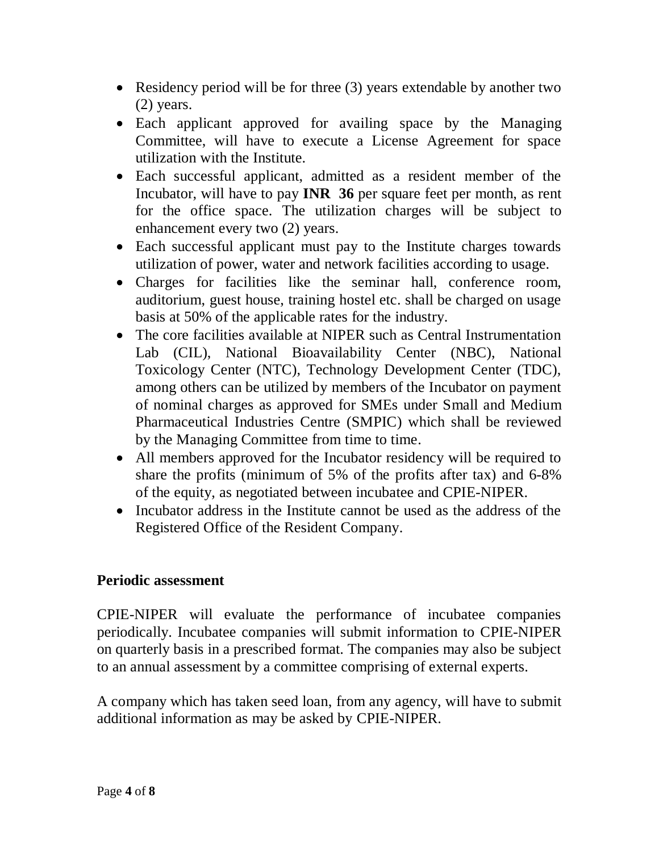- Residency period will be for three (3) years extendable by another two (2) years.
- Each applicant approved for availing space by the Managing Committee, will have to execute a License Agreement for space utilization with the Institute.
- Each successful applicant, admitted as a resident member of the Incubator, will have to pay **INR 36** per square feet per month, as rent for the office space. The utilization charges will be subject to enhancement every two (2) years.
- Each successful applicant must pay to the Institute charges towards utilization of power, water and network facilities according to usage.
- Charges for facilities like the seminar hall, conference room, auditorium, guest house, training hostel etc. shall be charged on usage basis at 50% of the applicable rates for the industry.
- The core facilities available at NIPER such as Central Instrumentation Lab (CIL), National Bioavailability Center (NBC), National Toxicology Center (NTC), Technology Development Center (TDC), among others can be utilized by members of the Incubator on payment of nominal charges as approved for SMEs under Small and Medium Pharmaceutical Industries Centre (SMPIC) which shall be reviewed by the Managing Committee from time to time.
- All members approved for the Incubator residency will be required to share the profits (minimum of 5% of the profits after tax) and 6-8% of the equity, as negotiated between incubatee and CPIE-NIPER.
- Incubator address in the Institute cannot be used as the address of the Registered Office of the Resident Company.

### **Periodic assessment**

CPIE-NIPER will evaluate the performance of incubatee companies periodically. Incubatee companies will submit information to CPIE-NIPER on quarterly basis in a prescribed format. The companies may also be subject to an annual assessment by a committee comprising of external experts.

A company which has taken seed loan, from any agency, will have to submit additional information as may be asked by CPIE-NIPER.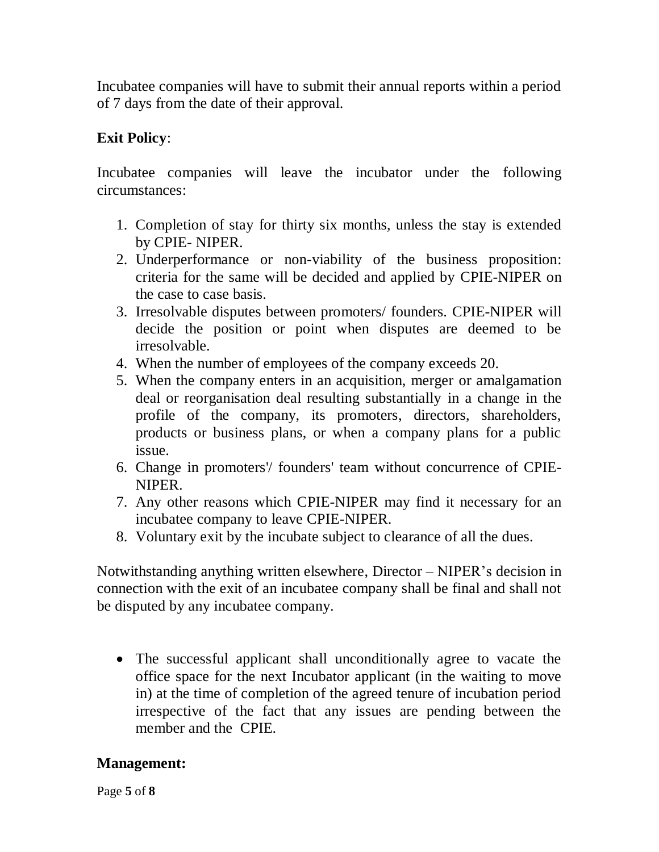Incubatee companies will have to submit their annual reports within a period of 7 days from the date of their approval.

# **Exit Policy**:

Incubatee companies will leave the incubator under the following circumstances:

- 1. Completion of stay for thirty six months, unless the stay is extended by CPIE- NIPER.
- 2. Underperformance or non-viability of the business proposition: criteria for the same will be decided and applied by CPIE-NIPER on the case to case basis.
- 3. Irresolvable disputes between promoters/ founders. CPIE-NIPER will decide the position or point when disputes are deemed to be irresolvable.
- 4. When the number of employees of the company exceeds 20.
- 5. When the company enters in an acquisition, merger or amalgamation deal or reorganisation deal resulting substantially in a change in the profile of the company, its promoters, directors, shareholders, products or business plans, or when a company plans for a public issue.
- 6. Change in promoters'/ founders' team without concurrence of CPIE-NIPER.
- 7. Any other reasons which CPIE-NIPER may find it necessary for an incubatee company to leave CPIE-NIPER.
- 8. Voluntary exit by the incubate subject to clearance of all the dues.

Notwithstanding anything written elsewhere, Director – NIPER's decision in connection with the exit of an incubatee company shall be final and shall not be disputed by any incubatee company.

 The successful applicant shall unconditionally agree to vacate the office space for the next Incubator applicant (in the waiting to move in) at the time of completion of the agreed tenure of incubation period irrespective of the fact that any issues are pending between the member and the CPIE.

# **Management:**

Page **5** of **8**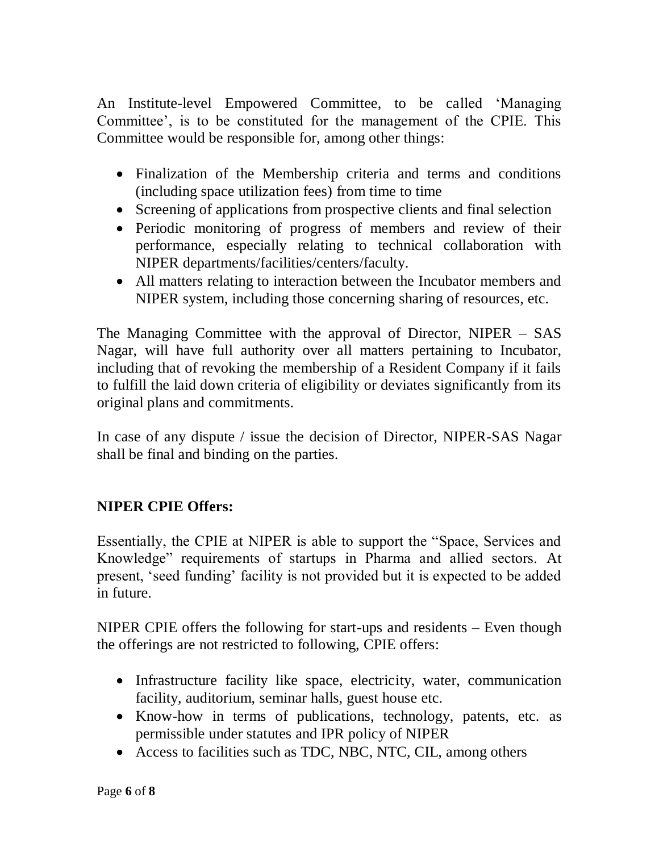An Institute-level Empowered Committee, to be called 'Managing Committee', is to be constituted for the management of the CPIE. This Committee would be responsible for, among other things:

- Finalization of the Membership criteria and terms and conditions (including space utilization fees) from time to time
- Screening of applications from prospective clients and final selection
- Periodic monitoring of progress of members and review of their performance, especially relating to technical collaboration with NIPER departments/facilities/centers/faculty.
- All matters relating to interaction between the Incubator members and NIPER system, including those concerning sharing of resources, etc.

The Managing Committee with the approval of Director, NIPER – SAS Nagar, will have full authority over all matters pertaining to Incubator, including that of revoking the membership of a Resident Company if it fails to fulfill the laid down criteria of eligibility or deviates significantly from its original plans and commitments.

In case of any dispute / issue the decision of Director, NIPER-SAS Nagar shall be final and binding on the parties.

# **NIPER CPIE Offers:**

Essentially, the CPIE at NIPER is able to support the "Space, Services and Knowledge" requirements of startups in Pharma and allied sectors. At present, 'seed funding' facility is not provided but it is expected to be added in future.

NIPER CPIE offers the following for start-ups and residents – Even though the offerings are not restricted to following, CPIE offers:

- Infrastructure facility like space, electricity, water, communication facility, auditorium, seminar halls, guest house etc.
- Know-how in terms of publications, technology, patents, etc. as permissible under statutes and IPR policy of NIPER
- Access to facilities such as TDC, NBC, NTC, CIL, among others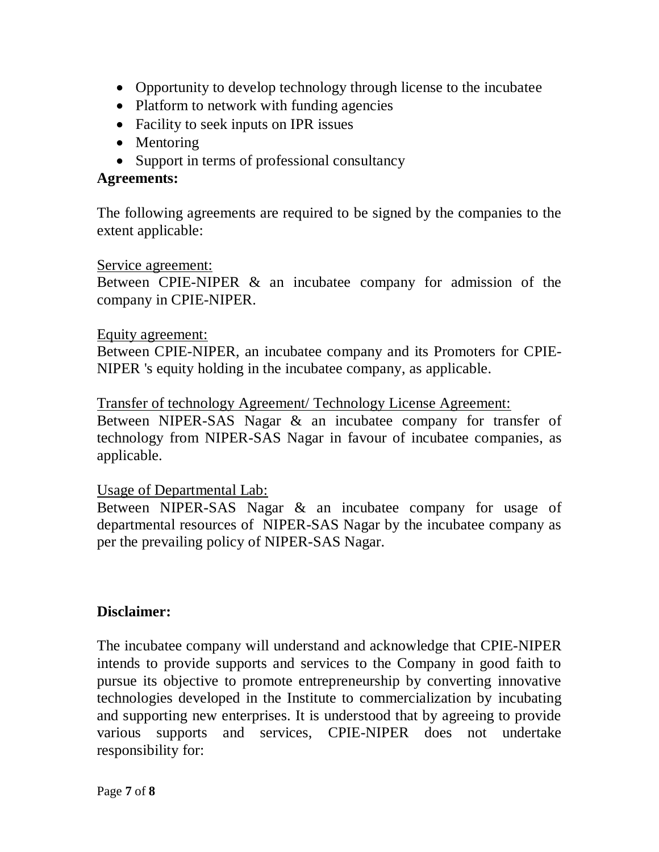- Opportunity to develop technology through license to the incubatee
- Platform to network with funding agencies
- Facility to seek inputs on IPR issues
- Mentoring
- Support in terms of professional consultancy

### **Agreements:**

The following agreements are required to be signed by the companies to the extent applicable:

#### Service agreement:

Between CPIE-NIPER & an incubatee company for admission of the company in CPIE-NIPER.

#### Equity agreement:

Between CPIE-NIPER, an incubatee company and its Promoters for CPIE-NIPER 's equity holding in the incubatee company, as applicable.

#### Transfer of technology Agreement/ Technology License Agreement:

Between NIPER-SAS Nagar & an incubatee company for transfer of technology from NIPER-SAS Nagar in favour of incubatee companies, as applicable.

#### Usage of Departmental Lab:

Between NIPER-SAS Nagar & an incubatee company for usage of departmental resources of NIPER-SAS Nagar by the incubatee company as per the prevailing policy of NIPER-SAS Nagar.

#### **Disclaimer:**

The incubatee company will understand and acknowledge that CPIE-NIPER intends to provide supports and services to the Company in good faith to pursue its objective to promote entrepreneurship by converting innovative technologies developed in the Institute to commercialization by incubating and supporting new enterprises. It is understood that by agreeing to provide various supports and services, CPIE-NIPER does not undertake responsibility for: